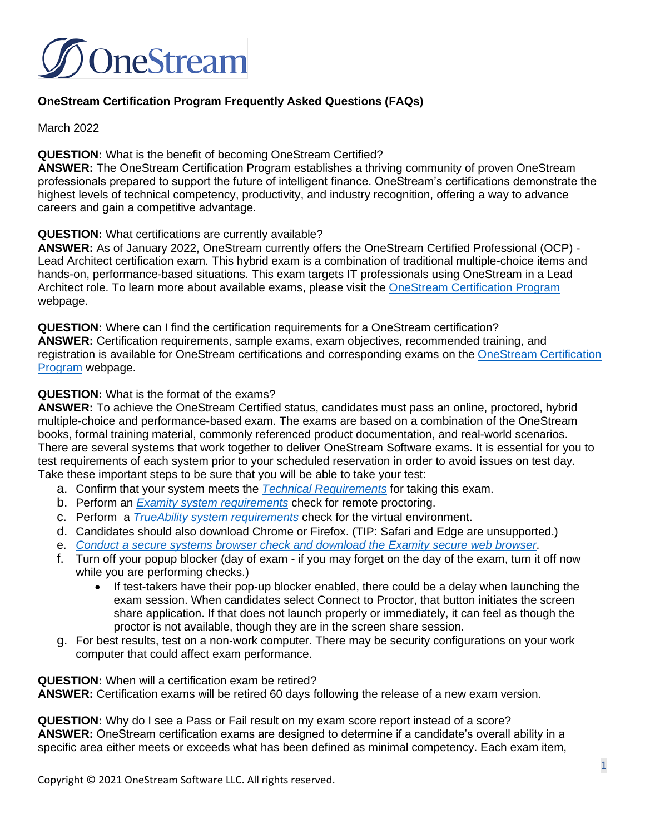

## **OneStream Certification Program Frequently Asked Questions (FAQs)**

March 2022

#### **QUESTION:** What is the benefit of becoming OneStream Certified?

**ANSWER:** The OneStream Certification Program establishes a thriving community of proven OneStream professionals prepared to support the future of intelligent finance. OneStream's certifications demonstrate the highest levels of technical competency, productivity, and industry recognition, offering a way to advance careers and gain a competitive advantage.

#### **QUESTION:** What certifications are currently available?

**ANSWER:** As of January 2022, OneStream currently offers the OneStream Certified Professional (OCP) - Lead Architect certification exam. This hybrid exam is a combination of traditional multiple-choice items and hands-on, performance-based situations. This exam targets IT professionals using OneStream in a Lead Architect role. To learn more about available exams, please visit the [OneStream Certification Program](https://certification.onestreamsoftware.com/) webpage.

**QUESTION:** Where can I find the certification requirements for a OneStream certification? **ANSWER:** Certification requirements, sample exams, exam objectives, recommended training, and registration is available for OneStream certifications and corresponding exams on the [OneStream Certification](https://certification.onestreamsoftware.com/)  [Program](https://certification.onestreamsoftware.com/) webpage.

#### **QUESTION:** What is the format of the exams?

**ANSWER:** To achieve the OneStream Certified status, candidates must pass an online, proctored, hybrid multiple-choice and performance-based exam. The exams are based on a combination of the OneStream books, formal training material, commonly referenced product documentation, and real-world scenarios. There are several systems that work together to deliver OneStream Software exams. It is essential for you to test requirements of each system prior to your scheduled reservation in order to avoid issues on test day. Take these important steps to be sure that you will be able to take your test:

- a. Confirm that your system meets the *[Technical Requirements](https://nam11.safelinks.protection.outlook.com/?url=https%3A%2F%2Ff.hubspotusercontent30.net%2Fhubfs%2F2020381%2FWebsite%2FCertification%2FExamityTechnicalSuccess.pdf&data=04%7C01%7Cbbarrington%40onestreamsoftware.com%7Ccddf503c1b234f3357d308d9d1feffb5%7Cf9796dfaf91c40958663e77a96f2d645%7C0%7C0%7C637771715415879580%7CUnknown%7CTWFpbGZsb3d8eyJWIjoiMC4wLjAwMDAiLCJQIjoiV2luMzIiLCJBTiI6Ik1haWwiLCJXVCI6Mn0%3D%7C3000&sdata=Nxj5IAjR%2Bu%2Bc7XvAd0ROawUklVDj%2F4e6ZWDMrv%2BfkFU%3D&reserved=0)* for taking this exam.
- b. Perform an *[Examity](https://nam11.safelinks.protection.outlook.com/?url=https%3A%2F%2Fprod.examity.com%2Fsystemcheck%2Fcheck.aspx&data=04%7C01%7Cbbarrington%40onestreamsoftware.com%7Ccddf503c1b234f3357d308d9d1feffb5%7Cf9796dfaf91c40958663e77a96f2d645%7C0%7C0%7C637771715415879580%7CUnknown%7CTWFpbGZsb3d8eyJWIjoiMC4wLjAwMDAiLCJQIjoiV2luMzIiLCJBTiI6Ik1haWwiLCJXVCI6Mn0%3D%7C3000&sdata=bpI1sSp%2FphnHBbUGYJ9EZoEd959srX80lMP2DA1aRkQ%3D&reserved=0) [system requirements](https://nam11.safelinks.protection.outlook.com/?url=https%3A%2F%2Fprod.examity.com%2Fsystemcheck%2Fcheck.aspx&data=04%7C01%7Cbbarrington%40onestreamsoftware.com%7Ccddf503c1b234f3357d308d9d1feffb5%7Cf9796dfaf91c40958663e77a96f2d645%7C0%7C0%7C637771715415879580%7CUnknown%7CTWFpbGZsb3d8eyJWIjoiMC4wLjAwMDAiLCJQIjoiV2luMzIiLCJBTiI6Ik1haWwiLCJXVCI6Mn0%3D%7C3000&sdata=bpI1sSp%2FphnHBbUGYJ9EZoEd959srX80lMP2DA1aRkQ%3D&reserved=0)* check for remote proctoring.
- c. Perform a *[TrueAbility](https://nam11.safelinks.protection.outlook.com/?url=https%3A%2F%2Fapp.trueability.com%2Fcompatibility&data=04%7C01%7Cbbarrington%40onestreamsoftware.com%7Ccddf503c1b234f3357d308d9d1feffb5%7Cf9796dfaf91c40958663e77a96f2d645%7C0%7C0%7C637771715415879580%7CUnknown%7CTWFpbGZsb3d8eyJWIjoiMC4wLjAwMDAiLCJQIjoiV2luMzIiLCJBTiI6Ik1haWwiLCJXVCI6Mn0%3D%7C3000&sdata=ce2YKCBbEd26Pt3BaQwFfsKFap1EggbohOKPsskgKeM%3D&reserved=0) [system requirements](https://nam11.safelinks.protection.outlook.com/?url=https%3A%2F%2Fapp.trueability.com%2Fcompatibility&data=04%7C01%7Cbbarrington%40onestreamsoftware.com%7Ccddf503c1b234f3357d308d9d1feffb5%7Cf9796dfaf91c40958663e77a96f2d645%7C0%7C0%7C637771715415879580%7CUnknown%7CTWFpbGZsb3d8eyJWIjoiMC4wLjAwMDAiLCJQIjoiV2luMzIiLCJBTiI6Ik1haWwiLCJXVCI6Mn0%3D%7C3000&sdata=ce2YKCBbEd26Pt3BaQwFfsKFap1EggbohOKPsskgKeM%3D&reserved=0)* check for the virtual environment.
- d. Candidates should also download Chrome or Firefox. (TIP: Safari and Edge are unsupported.)
- e. *[Conduct a secure systems browser check and download the Examity](https://nam11.safelinks.protection.outlook.com/?url=https%3A%2F%2Ftest.examity.com%2FExamitySecureBrowser%2FSecureBrowser.aspx&data=04%7C01%7Cbbarrington%40onestreamsoftware.com%7Ccddf503c1b234f3357d308d9d1feffb5%7Cf9796dfaf91c40958663e77a96f2d645%7C0%7C0%7C637771715415879580%7CUnknown%7CTWFpbGZsb3d8eyJWIjoiMC4wLjAwMDAiLCJQIjoiV2luMzIiLCJBTiI6Ik1haWwiLCJXVCI6Mn0%3D%7C3000&sdata=%2FpsFpSUwZczIPpufPcokuiIdVufqs4BYY0Zs6a7DG2E%3D&reserved=0) [secure web browser](https://nam11.safelinks.protection.outlook.com/?url=https%3A%2F%2Ftest.examity.com%2FExamitySecureBrowser%2FSecureBrowser.aspx&data=04%7C01%7Cbbarrington%40onestreamsoftware.com%7Ccddf503c1b234f3357d308d9d1feffb5%7Cf9796dfaf91c40958663e77a96f2d645%7C0%7C0%7C637771715415879580%7CUnknown%7CTWFpbGZsb3d8eyJWIjoiMC4wLjAwMDAiLCJQIjoiV2luMzIiLCJBTiI6Ik1haWwiLCJXVCI6Mn0%3D%7C3000&sdata=%2FpsFpSUwZczIPpufPcokuiIdVufqs4BYY0Zs6a7DG2E%3D&reserved=0)*.
- f. Turn off your popup blocker (day of exam if you may forget on the day of the exam, turn it off now while you are performing checks.)
	- If test-takers have their pop-up blocker enabled, there could be a delay when launching the exam session. When candidates select Connect to Proctor, that button initiates the screen share application. If that does not launch properly or immediately, it can feel as though the proctor is not available, though they are in the screen share session.
- g. For best results, test on a non-work computer. There may be security configurations on your work computer that could affect exam performance.

**QUESTION:** When will a certification exam be retired? **ANSWER:** Certification exams will be retired 60 days following the release of a new exam version.

**QUESTION:** Why do I see a Pass or Fail result on my exam score report instead of a score? **ANSWER:** OneStream certification exams are designed to determine if a candidate's overall ability in a specific area either meets or exceeds what has been defined as minimal competency. Each exam item,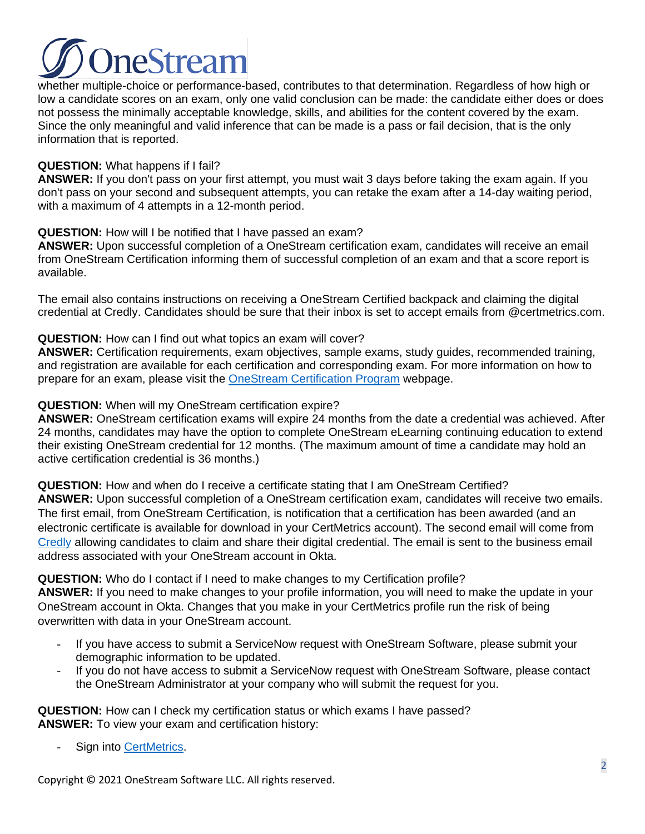# **IneStrear**

whether multiple-choice or performance-based, contributes to that determination. Regardless of how high or low a candidate scores on an exam, only one valid conclusion can be made: the candidate either does or does not possess the minimally acceptable knowledge, skills, and abilities for the content covered by the exam. Since the only meaningful and valid inference that can be made is a pass or fail decision, that is the only information that is reported.

## **QUESTION:** What happens if I fail?

**ANSWER:** If you don't pass on your first attempt, you must wait 3 days before taking the exam again. If you don't pass on your second and subsequent attempts, you can retake the exam after a 14-day waiting period, with a maximum of 4 attempts in a 12-month period.

## **QUESTION:** How will I be notified that I have passed an exam?

**ANSWER:** Upon successful completion of a OneStream certification exam, candidates will receive an email from OneStream Certification informing them of successful completion of an exam and that a score report is available.

The email also contains instructions on receiving a OneStream Certified backpack and claiming the digital credential at Credly. Candidates should be sure that their inbox is set to accept emails from @certmetrics.com.

## **QUESTION:** How can I find out what topics an exam will cover?

**ANSWER:** Certification requirements, exam objectives, sample exams, study guides, recommended training, and registration are available for each certification and corresponding exam. For more information on how to prepare for an exam, please visit the [OneStream Certification Program](https://certification.onestreamsoftware.com/) webpage.

## **QUESTION:** When will my OneStream certification expire?

**ANSWER:** OneStream certification exams will expire 24 months from the date a credential was achieved. After 24 months, candidates may have the option to complete OneStream eLearning continuing education to extend their existing OneStream credential for 12 months. (The maximum amount of time a candidate may hold an active certification credential is 36 months.)

**QUESTION:** How and when do I receive a certificate stating that I am OneStream Certified?

**ANSWER:** Upon successful completion of a OneStream certification exam, candidates will receive two emails. The first email, from OneStream Certification, is notification that a certification has been awarded (and an electronic certificate is available for download in your CertMetrics account). The second email will come from [Credly](https://www.credly.com/users/sign_in) allowing candidates to claim and share their digital credential. The email is sent to the business email address associated with your OneStream account in Okta.

## **QUESTION:** Who do I contact if I need to make changes to my Certification profile?

**ANSWER:** If you need to make changes to your profile information, you will need to make the update in your OneStream account in Okta. Changes that you make in your CertMetrics profile run the risk of being overwritten with data in your OneStream account.

- If you have access to submit a ServiceNow request with OneStream Software, please submit your demographic information to be updated.
- If you do not have access to submit a ServiceNow request with OneStream Software, please contact the OneStream Administrator at your company who will submit the request for you.

**QUESTION:** How can I check my certification status or which exams I have passed? **ANSWER:** To view your exam and certification history:

Sign into [CertMetrics.](https://www.certmetrics.com/onestreamsoftware)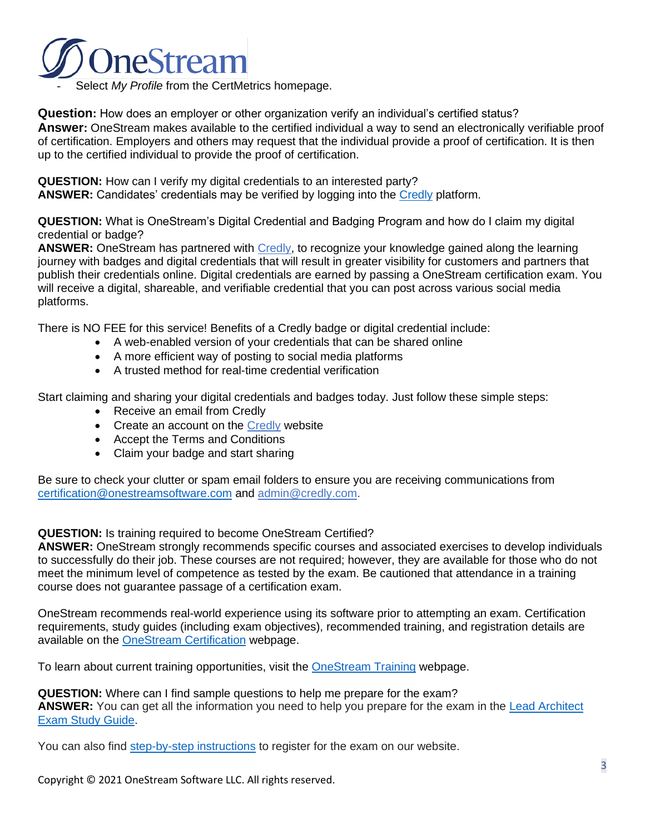

Select *My Profile* from the CertMetrics homepage.

**Question:** How does an employer or other organization verify an individual's certified status? **Answer:** OneStream makes available to the certified individual a way to send an electronically verifiable proof of certification. Employers and others may request that the individual provide a proof of certification. It is then up to the certified individual to provide the proof of certification.

**QUESTION:** How can I verify my digital credentials to an interested party? ANSWER: Candidates' credentials may be verified by logging into the [Credly](https://www.credly.com/users/sign_in) platform.

**QUESTION:** What is OneStream's Digital Credential and Badging Program and how do I claim my digital credential or badge?

**ANSWER:** OneStream has partnered with [Credly,](https://www.credly.com/users/sign_in) to recognize your knowledge gained along the learning journey with badges and digital credentials that will result in greater visibility for customers and partners that publish their credentials online. Digital credentials are earned by passing a OneStream certification exam. You will receive a digital, shareable, and verifiable credential that you can post across various social media platforms.

There is NO FEE for this service! Benefits of a Credly badge or digital credential include:

- A web-enabled version of your credentials that can be shared online
- A more efficient way of posting to social media platforms
- A trusted method for real-time credential verification

Start claiming and sharing your digital credentials and badges today. Just follow these simple steps:

- Receive an email from Credly
- Create an account on the [Credly](https://www.credly.com/users/sign_in) website
- Accept the Terms and Conditions
- Claim your badge and start sharing

Be sure to check your clutter or spam email folders to ensure you are receiving communications from [certification@onestreamsoftware.com](mailto:certification@onestreamsoftware.com) and [admin@credly.com.](mailto:admin@youracclaim.com)

#### **QUESTION:** Is training required to become OneStream Certified?

**ANSWER:** OneStream strongly recommends specific courses and associated exercises to develop individuals to successfully do their job. These courses are not required; however, they are available for those who do not meet the minimum level of competence as tested by the exam. Be cautioned that attendance in a training course does not guarantee passage of a certification exam.

OneStream recommends real-world experience using its software prior to attempting an exam. Certification requirements, study guides (including exam objectives), recommended training, and registration details are available on the [OneStream Certification](https://certification.onestreamsoftware.com/) webpage.

To learn about current training opportunities, visit the [OneStream Training](https://onestreamsoftware.com/training/) webpage.

**QUESTION:** Where can I find sample questions to help me prepare for the exam? ANSWER: You can get all the information you need to help you prepare for the exam in the **Lead Architect** [Exam Study Guide.](https://nam11.safelinks.protection.outlook.com/?url=https%3A%2F%2Furldefense.com%2Fv3%2F__https%3A%2Ff.hubspotusercontent30.net%2Fhubfs%2F2020381%2FWebsite%2FCertification%2FStudyGuide_LeadArchitect.pdf__%3B!!HSntlCg!A6nuoDGfx95sqz6bbwsFaTeHZrKTewflafjCi3QRIfdVJenHWqREloP5vwTHHakEmx8%24&data=04%7C01%7Ccertification%40onestreamsoftware.com%7C37fb1504e0bb4e55870308d9d9dfe037%7Cf9796dfaf91c40958663e77a96f2d645%7C0%7C0%7C637780377836040217%7CUnknown%7CTWFpbGZsb3d8eyJWIjoiMC4wLjAwMDAiLCJQIjoiV2luMzIiLCJBTiI6Ik1haWwiLCJXVCI6Mn0%3D%7C3000&sdata=MiwkvxC6GB43Xm8sr3MhYqbCbZRner3Z14ewQ3r8fOI%3D&reserved=0)

You can also find [step-by-step instructions](https://nam11.safelinks.protection.outlook.com/?url=https%3A%2F%2Furldefense.com%2Fv3%2F__https%3A%2Fcertification.onestreamsoftware.com%2Fcertification-process%2Fstep-by-step-registration%2F__%3B!!HSntlCg!A6nuoDGfx95sqz6bbwsFaTeHZrKTewflafjCi3QRIfdVJenHWqREloP5vwTHVpKfVgs%24&data=04%7C01%7Ccertification%40onestreamsoftware.com%7C37fb1504e0bb4e55870308d9d9dfe037%7Cf9796dfaf91c40958663e77a96f2d645%7C0%7C0%7C637780377836040217%7CUnknown%7CTWFpbGZsb3d8eyJWIjoiMC4wLjAwMDAiLCJQIjoiV2luMzIiLCJBTiI6Ik1haWwiLCJXVCI6Mn0%3D%7C3000&sdata=y0474y2v09BK7OJHqWKWJyDGGyN3DdojLuQT%2F2zjmD4%3D&reserved=0) to register for the exam on our website.

Copyright © 2021 OneStream Software LLC. All rights reserved.